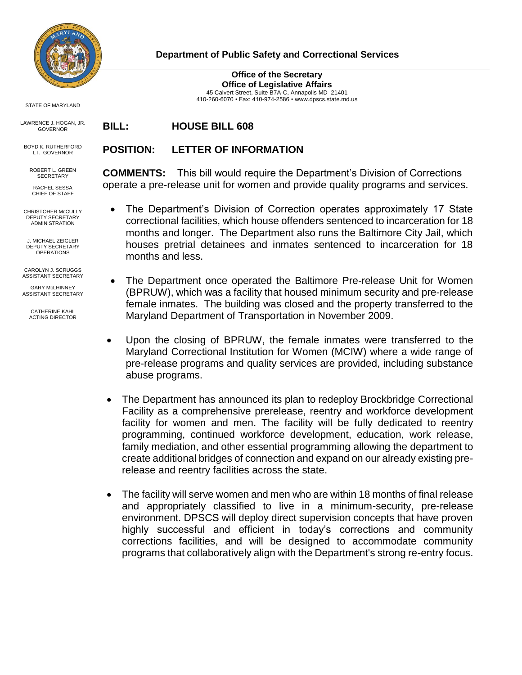

## **Department of Public Safety and Correctional Services**

**Office of the Secretary Office of Legislative Affairs** 45 Calvert Street, Suite B7A-C, Annapolis MD 21401 410-260-6070 • Fax: 410-974-2586 • [www.dpscs.state.md.us](http://www.dpscs.state.md.us/)

STATE OF MARYLAND

LAWRENCE J. HOGAN, JR. GOVERNOR

BOYD K. RUTHERFORD LT. GOVERNOR

ROBERT L. GREEN **SECRETARY** RACHEL SESSA

CHIEF OF STAFF

CHRISTOHER McCULLY DEPUTY SECRETARY ADMINISTRATION

J. MICHAEL ZEIGLER DEPUTY SECRETARY **OPERATIONS** 

CAROLYN J. SCRUGGS ASSISTANT SECRETARY

GARY McLHINNEY ASSISTANT SECRETARY

> CATHERINE KAHL ACTING DIRECTOR

**BILL: HOUSE BILL 608**

## **POSITION: LETTER OF INFORMATION**

**COMMENTS:** This bill would require the Department's Division of Corrections operate a pre-release unit for women and provide quality programs and services.

- The Department's Division of Correction operates approximately 17 State correctional facilities, which house offenders sentenced to incarceration for 18 months and longer. The Department also runs the Baltimore City Jail, which houses pretrial detainees and inmates sentenced to incarceration for 18 months and less.
- The Department once operated the Baltimore Pre-release Unit for Women (BPRUW), which was a facility that housed minimum security and pre-release female inmates. The building was closed and the property transferred to the Maryland Department of Transportation in November 2009.
- Upon the closing of BPRUW, the female inmates were transferred to the Maryland Correctional Institution for Women (MCIW) where a wide range of pre-release programs and quality services are provided, including substance abuse programs.
- The Department has announced its plan to redeploy Brockbridge Correctional Facility as a comprehensive prerelease, reentry and workforce development facility for women and men. The facility will be fully dedicated to reentry programming, continued workforce development, education, work release, family mediation, and other essential programming allowing the department to create additional bridges of connection and expand on our already existing prerelease and reentry facilities across the state.
- The facility will serve women and men who are within 18 months of final release and appropriately classified to live in a minimum-security, pre-release environment. DPSCS will deploy direct supervision concepts that have proven highly successful and efficient in today's corrections and community corrections facilities, and will be designed to accommodate community programs that collaboratively align with the Department's strong re-entry focus.